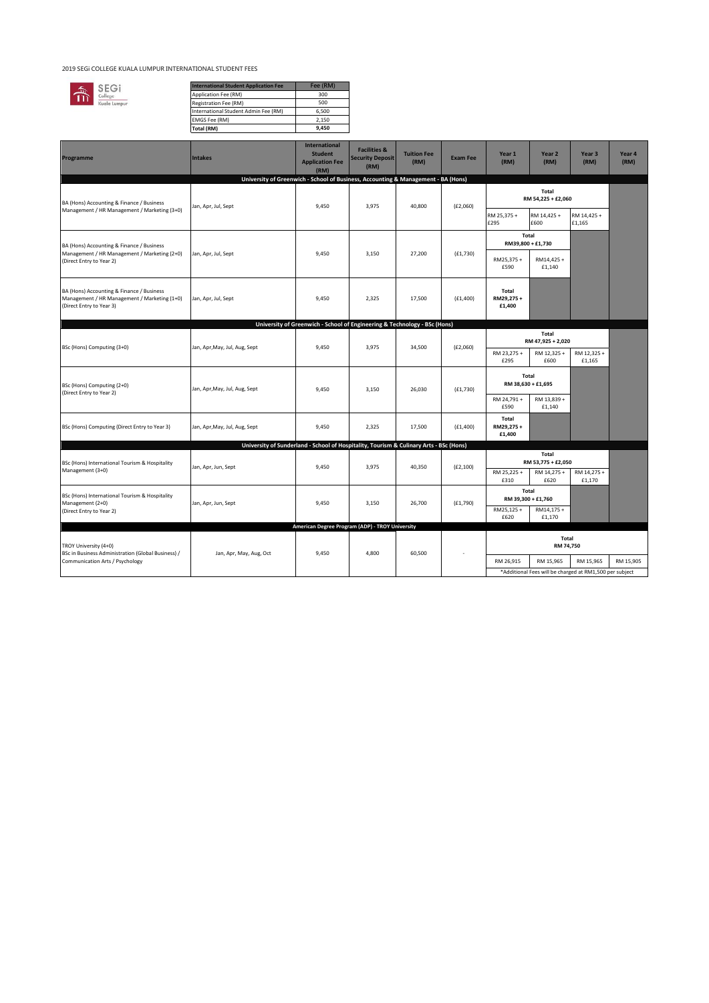## **2019 SEGi COLLEGE KUALA LUMPUR INTERNATIONAL STUDENT FEES**



| <b>International Student Application Fee</b> | Fee (RM) |
|----------------------------------------------|----------|
| Application Fee (RM)                         | 300      |
| Registration Fee (RM)                        | 500      |
| International Student Admin Fee (RM)         | 6.500    |
| EMGS Fee (RM)                                | 2.150    |
| Total (RM)                                   | 9.450    |

| Programme                                                                                                             | <b>Intakes</b>                                                                         | International<br><b>Student</b><br><b>Application Fee</b><br>(RM)         | <b>Facilities &amp;</b><br><b>Security Deposit</b><br>(RM) | <b>Tuition Fee</b><br>(RM) | <b>Exam Fee</b> | Year 1<br>(RM)              | Year 2<br>(RM)                                          | Year <sub>3</sub><br>(RM) | Year 4<br>(RM) |
|-----------------------------------------------------------------------------------------------------------------------|----------------------------------------------------------------------------------------|---------------------------------------------------------------------------|------------------------------------------------------------|----------------------------|-----------------|-----------------------------|---------------------------------------------------------|---------------------------|----------------|
|                                                                                                                       | University of Greenwich - School of Business, Accounting & Management - BA (Hons)      |                                                                           |                                                            |                            |                 |                             |                                                         |                           |                |
| BA (Hons) Accounting & Finance / Business<br>Management / HR Management / Marketing (3+0)                             | Jan, Apr, Jul, Sept                                                                    | 9,450                                                                     | 3,975                                                      | 40,800                     | (E2,060)        | Total<br>RM 54,225 + £2,060 |                                                         |                           |                |
|                                                                                                                       |                                                                                        |                                                                           |                                                            |                            |                 |                             |                                                         |                           |                |
|                                                                                                                       |                                                                                        |                                                                           |                                                            |                            |                 | RM 25,375 +<br>£295         | RM 14,425 +<br>£600                                     | RM 14,425 +<br>£1,165     |                |
|                                                                                                                       |                                                                                        |                                                                           |                                                            |                            |                 | Total                       |                                                         |                           |                |
| BA (Hons) Accounting & Finance / Business<br>Management / HR Management / Marketing (2+0)<br>(Direct Entry to Year 2) | Jan, Apr, Jul, Sept                                                                    | 9,450                                                                     | 3.150                                                      | 27,200                     | (E1, 730)       | RM39,800 + £1,730           |                                                         |                           |                |
|                                                                                                                       |                                                                                        |                                                                           |                                                            |                            |                 | RM25,375+                   | RM14,425+                                               |                           |                |
|                                                                                                                       |                                                                                        |                                                                           |                                                            |                            |                 | £590                        | £1,140                                                  |                           |                |
| BA (Hons) Accounting & Finance / Business                                                                             |                                                                                        |                                                                           |                                                            |                            |                 | Total                       |                                                         |                           |                |
| Management / HR Management / Marketing (1+0)                                                                          | Jan, Apr, Jul, Sept                                                                    | 9,450                                                                     | 2,325                                                      | 17,500                     | (E1, 400)       | RM29,275+<br>£1,400         |                                                         |                           |                |
| (Direct Entry to Year 3)                                                                                              |                                                                                        |                                                                           |                                                            |                            |                 |                             |                                                         |                           |                |
|                                                                                                                       |                                                                                        | University of Greenwich - School of Engineering & Technology - BSc (Hons) |                                                            |                            |                 |                             |                                                         |                           |                |
|                                                                                                                       | Jan, Apr, May, Jul, Aug, Sept                                                          |                                                                           |                                                            |                            | (E2,060)        | Total<br>RM 47,925 + 2,020  |                                                         |                           |                |
| BSc (Hons) Computing (3+0)                                                                                            |                                                                                        | 9,450                                                                     | 3,975                                                      | 34,500                     |                 | RM 23,275 +                 | RM 12,325 +                                             | RM 12,325 +               |                |
|                                                                                                                       |                                                                                        |                                                                           |                                                            |                            |                 | £295                        | £600                                                    | £1,165                    |                |
| BSc (Hons) Computing (2+0)<br>(Direct Entry to Year 2)                                                                | Jan, Apr, May, Jul, Aug, Sept                                                          | 9,450                                                                     | 3,150                                                      | 26,030                     | (E1, 730)       | Total<br>RM 38,630 + £1,695 |                                                         |                           |                |
|                                                                                                                       |                                                                                        |                                                                           |                                                            |                            |                 |                             |                                                         |                           |                |
|                                                                                                                       |                                                                                        |                                                                           |                                                            |                            |                 | RM 24,791 +<br>£590         | RM 13,839 +<br>£1,140                                   |                           |                |
|                                                                                                                       |                                                                                        |                                                                           |                                                            |                            |                 | Total                       |                                                         |                           |                |
| BSc (Hons) Computing (Direct Entry to Year 3)                                                                         | Jan, Apr, May, Jul, Aug, Sept                                                          | 9,450                                                                     | 2,325                                                      | 17,500                     | (E1, 400)       | RM29,275+<br>£1,400         |                                                         |                           |                |
|                                                                                                                       | University of Sunderland - School of Hospitality, Tourism & Culinary Arts - BSc (Hons) |                                                                           |                                                            |                            |                 |                             |                                                         |                           |                |
| BSc (Hons) International Tourism & Hospitality<br>Management (3+0)                                                    | Jan, Apr, Jun, Sept                                                                    | 9,450<br>3,975<br>40,350                                                  |                                                            |                            | (E2, 100)       | Total<br>RM 53,775 + £2,050 |                                                         |                           |                |
|                                                                                                                       |                                                                                        |                                                                           |                                                            |                            |                 | RM 25,225 +                 | RM 14,275 +                                             | RM 14,275 +               |                |
|                                                                                                                       |                                                                                        |                                                                           |                                                            |                            | £310            | £620                        | £1,170                                                  |                           |                |
| BSc (Hons) International Tourism & Hospitality<br>Management (2+0)<br>(Direct Entry to Year 2)                        | Jan, Apr, Jun, Sept                                                                    | 9,450                                                                     | 3,150                                                      | 26,700                     | (E1,790)        | Total<br>RM 39,300 + £1,760 |                                                         |                           |                |
|                                                                                                                       |                                                                                        |                                                                           |                                                            |                            |                 | RM25,125+                   | RM14,175+                                               |                           |                |
|                                                                                                                       |                                                                                        | American Degree Program (ADP) - TROY University                           |                                                            |                            |                 | £620                        | £1,170                                                  |                           |                |
|                                                                                                                       | Jan, Apr, May, Aug, Oct                                                                | 9,450                                                                     | 4,800                                                      | 60,500                     |                 | Total                       |                                                         |                           |                |
| TROY University (4+0)<br>BSc in Business Administration (Global Business) /<br>Communication Arts / Psychology        |                                                                                        |                                                                           |                                                            |                            |                 | RM 74,750                   |                                                         |                           |                |
|                                                                                                                       |                                                                                        |                                                                           |                                                            |                            |                 | RM 26,915                   | RM 15,965                                               | RM 15,965                 | RM 15,905      |
|                                                                                                                       |                                                                                        |                                                                           |                                                            |                            |                 |                             | *Additional Fees will be charged at RM1,500 per subject |                           |                |